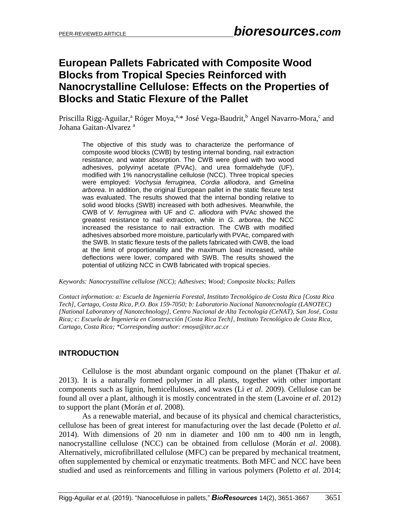# **European Pallets Fabricated with Composite Wood Blocks from Tropical Species Reinforced with Nanocrystalline Cellulose: Effects on the Properties of Blocks and Static Flexure of the Pallet**

Priscilla Rigg-Aguilar,<sup>a</sup> Róger Moya,<sup>a,\*</sup> José Vega-Baudrit,<sup>b</sup> Angel Navarro-Mora,<sup>c</sup> and Johana Gaitan-Alvarez<sup>a</sup>

The objective of this study was to characterize the performance of composite wood blocks (CWB) by testing internal bonding, nail extraction resistance, and water absorption. The CWB were glued with two wood adhesives, polyvinyl acetate (PVAc), and urea formaldehyde (UF), modified with 1% nanocrystalline cellulose (NCC). Three tropical species were employed: *Vochysia ferruginea*, *Cordia alliodora*, and *Gmelina arborea*. In addition, the original European pallet in the static flexure test was evaluated. The results showed that the internal bonding relative to solid wood blocks (SWB) increased with both adhesives. Meanwhile, the CWB of *V. ferruginea* with UF and *C. alliodora* with PVAc showed the greatest resistance to nail extraction, while in *G. arborea*, the NCC increased the resistance to nail extraction. The CWB with modified adhesives absorbed more moisture, particularly with PVAc, compared with the SWB. In static flexure tests of the pallets fabricated with CWB, the load at the limit of proportionality and the maximum load increased, while deflections were lower, compared with SWB. The results showed the potential of utilizing NCC in CWB fabricated with tropical species.

*Keywords: Nanocrystalline cellulose (NCC); Adhesives; Wood; Composite blocks; Pallets*

*Contact information: a: Escuela de Ingeniería Forestal, Instituto Tecnológico de Costa Rica [Costa Rica Tech], Cartago, Costa Rica, P.O. Box 159-7050; b: Laboratorio Nacional Nanotecnología (LANOTEC) [National Laboratory of Nanotechnology], Centro Nacional de Alta Tecnología (CeNAT), San José, Costa Rica; c: Escuela de Ingeniería en Construcción [Costa Rica Tech], Instituto Tecnológico de Costa Rica, Cartago, Costa Rica; \*Corresponding author: rmoya@itcr.ac.cr*

## **INTRODUCTION**

Cellulose is the most abundant organic compound on the planet (Thakur *et al*. 2013). It is a naturally formed polymer in all plants, together with other important components such as lignin, hemicelluloses, and waxes (Li *et al*. 2009). Cellulose can be found all over a plant, although it is mostly concentrated in the stem (Lavoine *et al*. 2012) to support the plant (Morán *et al*. 2008).

As a renewable material, and because of its physical and chemical characteristics, cellulose has been of great interest for manufacturing over the last decade (Poletto *et al*. 2014). With dimensions of 20 nm in diameter and 100 nm to 400 nm in length, nanocrystalline cellulose (NCC) can be obtained from cellulose (Morán *et al*. 2008). Alternatively, microfibrillated cellulose (MFC) can be prepared by mechanical treatment, often supplemented by chemical or enzymatic treatments. Both MFC and NCC have been studied and used as reinforcements and filling in various polymers (Poletto *et al*. 2014;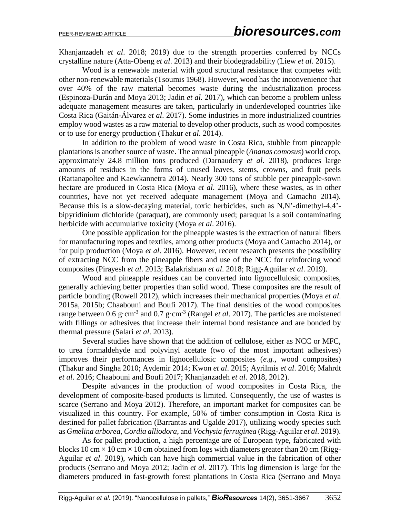Khanjanzadeh *et al*. 2018; 2019) due to the strength properties conferred by NCCs crystalline nature (Atta-Obeng *et al*. 2013) and their biodegradability (Liew *et al*. 2015).

Wood is a renewable material with good structural resistance that competes with other non-renewable materials (Tsoumis 1968). However, wood has the inconvenience that over 40% of the raw material becomes waste during the industrialization process (Espinoza-Durán and Moya 2013; Jadin *et al.* 2017), which can become a problem unless adequate management measures are taken, particularly in underdeveloped countries like Costa Rica (Gaitán-Álvarez *et al*. 2017). Some industries in more industrialized countries employ wood wastes as a raw material to develop other products, such as wood composites or to use for energy production (Thakur *et al*. 2014).

In addition to the problem of wood waste in Costa Rica, stubble from pineapple plantations is another source of waste. The annual pineapple (*Ananas comosus*) world crop, approximately 24.8 million tons produced (Darnaudery *et al*. 2018), produces large amounts of residues in the forms of unused leaves, stems, crowns, and fruit peels (Rattanapoltee and Kaewkannetra 2014). Nearly 300 tons of stubble per pineapple-sown hectare are produced in Costa Rica (Moya *et al*. 2016), where these wastes, as in other countries, have not yet received adequate management (Moya and Camacho 2014). Because this is a slow-decaying material, toxic herbicides, such as N,N'-dimethyl-4,4' bipyridinium dichloride (paraquat), are commonly used; paraquat is a soil contaminating herbicide with accumulative toxicity (Moya *et al*. 2016).

One possible application for the pineapple wastes is the extraction of natural fibers for manufacturing ropes and textiles, among other products (Moya and Camacho 2014), or for pulp production (Moya *et al*. 2016). However, recent research presents the possibility of extracting NCC from the pineapple fibers and use of the NCC for reinforcing wood composites (Pirayesh *et al*. 2013; Balakrishnan *et al*. 2018; Rigg-Aguilar *et al*. 2019).

Wood and pineapple residues can be converted into lignocellulosic composites, generally achieving better properties than solid wood. These composites are the result of particle bonding (Rowell 2012), which increases their mechanical properties (Moya *et al*. 2015a, 2015b; Chaabouni and Boufi 2017). The final densities of the wood composites range between 0.6 g·cm<sup>-3</sup> and 0.7 g·cm<sup>-3</sup> (Rangel *et al.* 2017). The particles are moistened with fillings or adhesives that increase their internal bond resistance and are bonded by thermal pressure (Salari *et al*. 2013).

Several studies have shown that the addition of cellulose, either as NCC or MFC, to urea formaldehyde and polyvinyl acetate (two of the most important adhesives) improves their performances in lignocellulosic composites (*e.g.*, wood composites) (Thakur and Singha 2010; Aydemir 2014; Kwon *et al*. 2015; Ayrilmis *et al*. 2016; Mahrdt *et al*. 2016; Chaabouni and Boufi 2017; Khanjanzadeh *et al*. 2018, 2012).

Despite advances in the production of wood composites in Costa Rica, the development of composite-based products is limited. Consequently, the use of wastes is scarce (Serrano and Moya 2012). Therefore, an important market for composites can be visualized in this country. For example, 50% of timber consumption in Costa Rica is destined for pallet fabrication (Barrantas and Ugalde 2017), utilizing woody species such as *Gmelina arborea*, *Cordia alliodora*, and *Vochysia ferruginea* (Rigg-Aguilar *et al*. 2019).

As for pallet production, a high percentage are of European type, fabricated with blocks 10 cm  $\times$  10 cm  $\times$  10 cm obtained from logs with diameters greater than 20 cm (Rigg-Aguilar *et al*. 2019), which can have high commercial value in the fabrication of other products (Serrano and Moya 2012; Jadin *et al.* 2017). This log dimension is large for the diameters produced in fast-growth forest plantations in Costa Rica (Serrano and Moya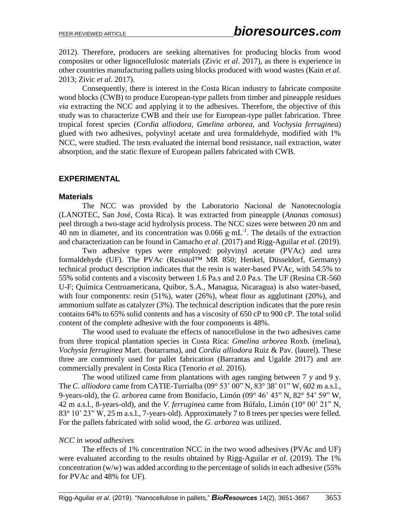2012). Therefore, producers are seeking alternatives for producing blocks from wood composites or other lignocellulosic materials (Zivic *et al*. 2017), as there is experience in other countries manufacturing pallets using blocks produced with wood wastes (Kain *et al*. 2013; Zivic *et al*. 2017).

Consequently, there is interest in the Costa Rican industry to fabricate composite wood blocks (CWB) to produce European-type pallets from timber and pineapple residues *via* extracting the NCC and applying it to the adhesives. Therefore, the objective of this study was to characterize CWB and their use for European-type pallet fabrication. Three tropical forest species (*Cordia alliodora*, *Gmelina arborea*, and *Vochysia ferruginea*) glued with two adhesives, polyvinyl acetate and urea formaldehyde, modified with 1% NCC, were studied. The tests evaluated the internal bond resistance, nail extraction, water absorption, and the static flexure of European pallets fabricated with CWB.

## **EXPERIMENTAL**

#### **Materials**

The NCC was provided by the Laboratorio Nacional de Nanotecnología (LANOTEC, San José, Costa Rica). It was extracted from pineapple (*Ananas comosus*) peel through a two-stage acid hydrolysis process. The NCC sizes were between 20 nm and 40 nm in diameter, and its concentration was  $0.066$  g·mL<sup>-1</sup>. The details of the extraction and characterization can be found in Camacho *et al*. (2017) and Rigg-Aguilar *et al*. (2019).

Two adhesive types were employed: polyvinyl acetate (PVAc) and urea formaldehyde (UF). The PVAc (Resistol™ MR 850; Henkel, Düsseldorf, Germany) technical product description indicates that the resin is water-based PVAc, with 54.5% to 55% solid contents and a viscosity between 1.6 Pa.s and 2.0 Pa.s. The UF (Resina CR-560 U-F; Química Centroamericana, Quibor, S.A., Managua, Nicaragua) is also water-based, with four components: resin (51%), water (26%), wheat flour as agglutinant (20%), and ammonium sulfate as catalyzer (3%). The technical description indicates that the pure resin contains 64% to 65% solid contents and has a viscosity of 650 cP to 900 cP. The total solid content of the complete adhesive with the four components is 48%.

The wood used to evaluate the effects of nanocellulose in the two adhesives came from three tropical plantation species in Costa Rica: *Gmelina arborea* Roxb. (melina), *Vochysia ferruginea* Mart. (botarrama), and *Cordia alliodora* Ruiz & Pav. (laurel). These three are commonly used for pallet fabrication (Barrantas and Ugalde 2017) and are commercially prevalent in Costa Rica (Tenorio *et al*. 2016).

The wood utilized came from plantations with ages ranging between 7 y and 9 y. The *C. alliodora* came from CATIE-Turrialba (09° 53' 00" N, 83° 38' 01" W, 602 m a.s.l., 9-years-old), the *G. arborea* came from Bonifacio, Limón (09° 46' 43" N, 82° 54' 59" W, 42 m a.s.l., 8-years-old), and the *V. ferruginea* came from Búfalo, Limón (10° 00' 21" N, 83° 10' 23" W, 25 m a.s.l., 7-years-old). Approximately 7 to 8 trees per species were felled. For the pallets fabricated with solid wood, the *G. arborea* was utilized.

#### *NCC in wood adhesives*

The effects of 1% concentration NCC in the two wood adhesives (PVAc and UF) were evaluated according to the results obtained by Rigg-Aguilar *et al*. (2019). The 1% concentration (w/w) was added according to the percentage of solids in each adhesive (55% for PVAc and 48% for UF).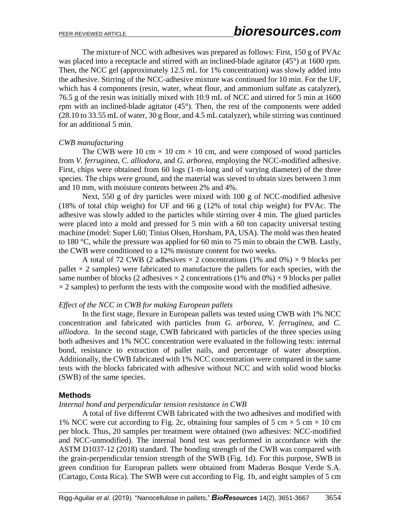The mixture of NCC with adhesives was prepared as follows: First, 150 g of PVAc was placed into a receptacle and stirred with an inclined-blade agitator (45°) at 1600 rpm. Then, the NCC gel (approximately 12.5 mL for 1% concentration) was slowly added into the adhesive. Stirring of the NCC-adhesive mixture was continued for 10 min. For the UF, which has 4 components (resin, water, wheat flour, and ammonium sulfate as catalyzer), 76.5 g of the resin was initially mixed with 10.9 mL of NCC and stirred for 5 min at 1600 rpm with an inclined-blade agitator (45°). Then, the rest of the components were added (28.10 to 33.55 mL of water, 30 g flour, and 4.5 mL catalyzer), while stirring was continued for an additional 5 min.

#### *CWB manufacturing*

The CWB were 10 cm  $\times$  10 cm  $\times$  10 cm, and were composed of wood particles from *V. ferruginea*, *C. alliodora*, and *G. arborea*, employing the NCC-modified adhesive. First, chips were obtained from 60 logs (1-m-long and of varying diameter) of the three species. The chips were ground, and the material was sieved to obtain sizes between 3 mm and 10 mm, with moisture contents between 2% and 4%.

Next, 550 g of dry particles were mixed with 100 g of NCC-modified adhesive (18% of total chip weight) for UF and 66 g (12% of total chip weight) for PVAc. The adhesive was slowly added to the particles while stirring over 4 min. The glued particles were placed into a mold and pressed for 5 min with a 60 ton capacity universal testing machine (model: Super L60; Tinius Olsen, Horsham, PA, USA). The mold was then heated to 180 °C, while the pressure was applied for 60 min to 75 min to obtain the CWB. Lastly, the CWB were conditioned to a 12% moisture content for two weeks.

A total of 72 CWB (2 adhesives  $\times$  2 concentrations (1% and 0%)  $\times$  9 blocks per pallet  $\times$  2 samples) were fabricated to manufacture the pallets for each species, with the same number of blocks (2 adhesives  $\times$  2 concentrations (1% and 0%)  $\times$  9 blocks per pallet  $\times$  2 samples) to perform the tests with the composite wood with the modified adhesive.

#### *Effect of the NCC in CWB for making European pallets*

In the first stage, flexure in European pallets was tested using CWB with 1% NCC concentration and fabricated with particles from *G. arborea*, *V. ferruginea*, and *C. alliodora*. In the second stage, CWB fabricated with particles of the three species using both adhesives and 1% NCC concentration were evaluated in the following tests: internal bond, resistance to extraction of pallet nails, and percentage of water absorption. Additionally, the CWB fabricated with 1% NCC concentration were compared in the same tests with the blocks fabricated with adhesive without NCC and with solid wood blocks (SWB) of the same species.

#### **Methods**

#### *Internal bond and perpendicular tension resistance in CWB*

A total of five different CWB fabricated with the two adhesives and modified with 1% NCC were cut according to Fig. 2c, obtaining four samples of 5 cm  $\times$  5 cm  $\times$  10 cm per block. Thus, 20 samples per treatment were obtained (two adhesives: NCC-modified and NCC-unmodified). The internal bond test was performed in accordance with the ASTM D1037-12 (2018) standard. The bonding strength of the CWB was compared with the grain-perpendicular tension strength of the SWB (Fig. 1d). For this purpose, SWB in green condition for European pallets were obtained from Maderas Bosque Verde S.A. (Cartago, Costa Rica). The SWB were cut according to Fig. 1b, and eight samples of 5 cm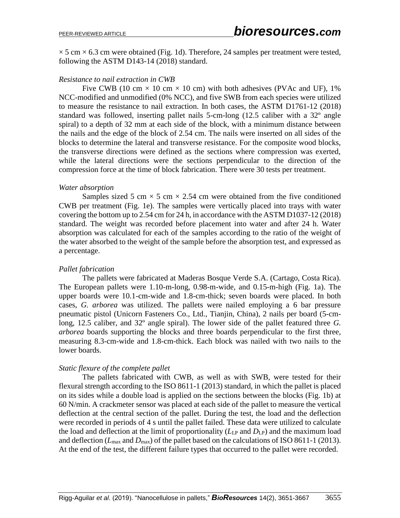$\times$  5 cm  $\times$  6.3 cm were obtained (Fig. 1d). Therefore, 24 samples per treatment were tested, following the ASTM D143-14 (2018) standard.

### *Resistance to nail extraction in CWB*

Five CWB (10 cm  $\times$  10 cm  $\times$  10 cm) with both adhesives (PVAc and UF), 1% NCC-modified and unmodified (0% NCC), and five SWB from each species were utilized to measure the resistance to nail extraction. In both cases, the ASTM D1761-12 (2018) standard was followed, inserting pallet nails 5-cm-long (12.5 caliber with a 32º angle spiral) to a depth of 32 mm at each side of the block, with a minimum distance between the nails and the edge of the block of 2.54 cm. The nails were inserted on all sides of the blocks to determine the lateral and transverse resistance. For the composite wood blocks, the transverse directions were defined as the sections where compression was exerted, while the lateral directions were the sections perpendicular to the direction of the compression force at the time of block fabrication. There were 30 tests per treatment.

#### *Water absorption*

Samples sized 5 cm  $\times$  5 cm  $\times$  2.54 cm were obtained from the five conditioned CWB per treatment (Fig. 1e). The samples were vertically placed into trays with water covering the bottom up to 2.54 cm for 24 h, in accordance with the ASTM D1037-12 (2018) standard. The weight was recorded before placement into water and after 24 h. Water absorption was calculated for each of the samples according to the ratio of the weight of the water absorbed to the weight of the sample before the absorption test, and expressed as a percentage.

## *Pallet fabrication*

The pallets were fabricated at Maderas Bosque Verde S.A. (Cartago, Costa Rica). The European pallets were 1.10-m-long, 0.98-m-wide, and 0.15-m-high (Fig. 1a). The upper boards were 10.1-cm-wide and 1.8-cm-thick; seven boards were placed. In both cases, *G. arborea* was utilized. The pallets were nailed employing a 6 bar pressure pneumatic pistol (Unicorn Fasteners Co., Ltd., Tianjin, China), 2 nails per board (5-cmlong, 12.5 caliber, and 32º angle spiral). The lower side of the pallet featured three *G. arborea* boards supporting the blocks and three boards perpendicular to the first three, measuring 8.3-cm-wide and 1.8-cm-thick. Each block was nailed with two nails to the lower boards.

## *Static flexure of the complete pallet*

The pallets fabricated with CWB, as well as with SWB, were tested for their flexural strength according to the ISO 8611-1 (2013) standard, in which the pallet is placed on its sides while a double load is applied on the sections between the blocks (Fig. 1b) at 60 N/min. A crackmeter sensor was placed at each side of the pallet to measure the vertical deflection at the central section of the pallet. During the test, the load and the deflection were recorded in periods of 4 s until the pallet failed. These data were utilized to calculate the load and deflection at the limit of proportionality  $(L_{LP}$  and  $D_{LP}$ ) and the maximum load and deflection ( $L_{\text{max}}$  and  $D_{\text{max}}$ ) of the pallet based on the calculations of ISO 8611-1 (2013). At the end of the test, the different failure types that occurred to the pallet were recorded.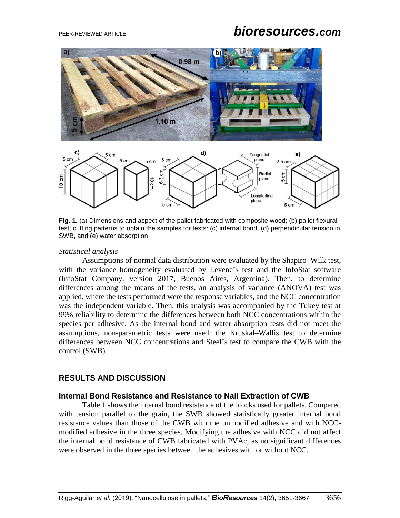# PEER-REVIEWED ARTICLE *bioresources.com*





**Fig. 1.** (a) Dimensions and aspect of the pallet fabricated with composite wood; (b) pallet flexural test; cutting patterns to obtain the samples for tests: (c) internal bond, (d) perpendicular tension in SWB, and (e) water absorption

#### *Statistical analysis*

Assumptions of normal data distribution were evaluated by the Shapiro–Wilk test, with the variance homogeneity evaluated by Levene's test and the InfoStat software (InfoStat Company, version 2017, Buenos Aires, Argentina). Then, to determine differences among the means of the tests, an analysis of variance (ANOVA) test was applied, where the tests performed were the response variables, and the NCC concentration was the independent variable. Then, this analysis was accompanied by the Tukey test at 99% reliability to determine the differences between both NCC concentrations within the species per adhesive. As the internal bond and water absorption tests did not meet the assumptions, non-parametric tests were used: the Kruskal–Wallis test to determine differences between NCC concentrations and Steel's test to compare the CWB with the control (SWB).

## **RESULTS AND DISCUSSION**

#### **Internal Bond Resistance and Resistance to Nail Extraction of CWB**

Table 1 shows the internal bond resistance of the blocks used for pallets. Compared with tension parallel to the grain, the SWB showed statistically greater internal bond resistance values than those of the CWB with the unmodified adhesive and with NCCmodified adhesive in the three species. Modifying the adhesive with NCC did not affect the internal bond resistance of CWB fabricated with PVAc, as no significant differences were observed in the three species between the adhesives with or without NCC.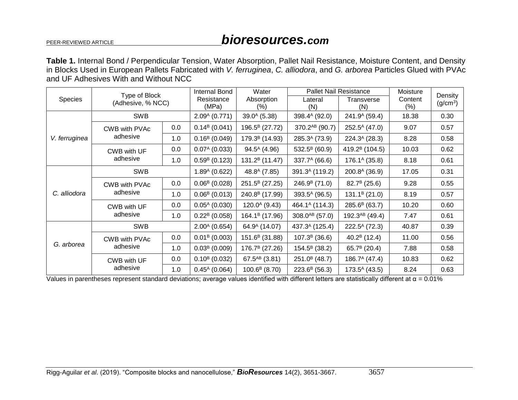**Table 1.** Internal Bond / Perpendicular Tension, Water Absorption, Pallet Nail Resistance, Moisture Content, and Density in Blocks Used in European Pallets Fabricated with *V. ferruginea*, *C. alliodora*, and *G. arborea* Particles Glued with PVAc and UF Adhesives With and Without NCC

| <b>Species</b> | Type of Block<br>(Adhesive, % NCC) |         | Internal Bond             | Water                      |                            | <b>Pallet Nail Resistance</b> |         | Density              |
|----------------|------------------------------------|---------|---------------------------|----------------------------|----------------------------|-------------------------------|---------|----------------------|
|                |                                    |         | Resistance                | Absorption                 | Lateral                    | Transverse                    | Content | (g/cm <sup>3</sup> ) |
|                |                                    |         | (MPa)                     | (%)                        | (N)                        | (N)                           | $(\% )$ |                      |
| V. ferruginea  | <b>SWB</b>                         |         | $2.09A$ (0.771)           | $39.0A$ (5.38)             | 398.4 <sup>A</sup> (92.0)  | $241.9A$ (59.4)               | 18.38   | 0.30                 |
|                | CWB with PVAc<br>adhesive          | 0.0     | $0.14B$ (0.041)           | 196.5 <sup>B</sup> (27.72) | 370.2 <sup>AB</sup> (90.7) | $252.5^A(47.0)$               | 9.07    | 0.57                 |
|                |                                    | 1.0     | $0.16B$ (0.049)           | 179.3 <sup>B</sup> (14.93) | 285.3 <sup>A</sup> (73.9)  | $224.3A$ (28.3)               | 8.28    | 0.58                 |
|                | CWB with UF<br>adhesive            | $0.0\,$ | $0.07A$ (0.033)           | $94.5^{\text{A}}$ (4.96)   | $532.5^B$ (60.9)           | 419.2 <sup>B</sup> (104.5)    | 10.03   | 0.62                 |
|                |                                    | 1.0     | $0.59B$ (0.123)           | $131.2B$ (11.47)           | $337.7^A(66.6)$            | $176.1^{\circ}$ (35.8)        | 8.18    | 0.61                 |
| C. alliodora   | <b>SWB</b>                         |         | $1.89A$ (0.622)           | 48.8 <sup>A</sup> (7.85)   | 391.3 <sup>A</sup> (119.2) | 200.8 <sup>A</sup> (36.9)     | 17.05   | 0.31                 |
|                | CWB with PVAc<br>adhesive          | 0.0     | $0.06B$ (0.028)           | 251.5 <sup>B</sup> (27.25) | $246.9B$ (71.0)            | $82.7^B(25.6)$                | 9.28    | 0.55                 |
|                |                                    | 1.0     | $0.06B$ (0.013)           | 240.8 <sup>B</sup> (17.99) | 393.5 <sup>A</sup> (96.5)  | $131.1B$ (21.0)               | 8.19    | 0.57                 |
|                | CWB with UF<br>adhesive            | 0.0     | $0.05^{\text{A}}$ (0.030) | $120.0^{A}$ (9.43)         | 464.1 <sup>A</sup> (114.3) | $285.6^B(63.7)$               | 10.20   | 0.60                 |
|                |                                    | 1.0     | $0.22B$ (0.058)           | 164.1 <sup>B</sup> (17.96) | 308.0 <sup>AB</sup> (57.0) | 192.3 <sup>AB</sup> (49.4)    | 7.47    | 0.61                 |
| G. arborea     | <b>SWB</b>                         |         | $2.00A$ (0.654)           | 64.9 <sup>A</sup> (14.07)  | 437.3 <sup>A</sup> (125.4) | $222.5^A$ (72.3)              | 40.87   | 0.39                 |
|                | CWB with PVAc                      | 0.0     | $0.01B$ (0.003)           | 151.6 <sup>B</sup> (31.88) | $107.3B$ (36.6)            | 40.2 $B(12.4)$                | 11.00   | 0.56                 |
|                | adhesive                           | 1.0     | $0.03B$ (0.009)           | 176.7 <sup>B</sup> (27.26) | $154.5^B$ (38.2)           | 65.7 $B(20.4)$                | 7.88    | 0.58                 |
|                | CWB with UF<br>adhesive            | 0.0     | $0.10^{B}$ (0.032)        | 67.5 <sup>AB</sup> (3.81)  | $251.0B$ (48.7)            | $186.7^A(47.4)$               | 10.83   | 0.62                 |
|                |                                    | 1.0     | $0.45^{\text{A}}$ (0.064) | $100.6B$ (8.70)            | $223.6^B$ (56.3)           | $173.5^A(43.5)$               | 8.24    | 0.63                 |

Values in parentheses represent standard deviations; average values identified with different letters are statistically different at  $\alpha = 0.01\%$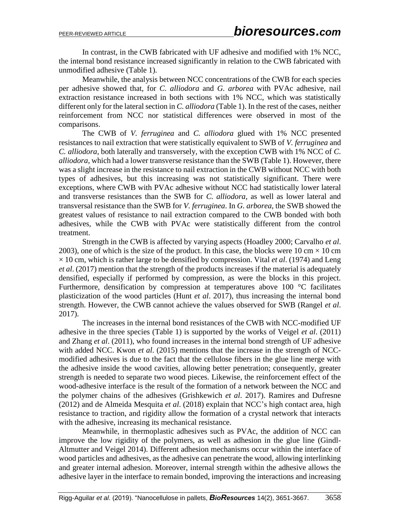In contrast, in the CWB fabricated with UF adhesive and modified with 1% NCC, the internal bond resistance increased significantly in relation to the CWB fabricated with unmodified adhesive (Table 1).

Meanwhile, the analysis between NCC concentrations of the CWB for each species per adhesive showed that, for *C. alliodora* and *G. arborea* with PVAc adhesive, nail extraction resistance increased in both sections with 1% NCC, which was statistically different only for the lateral section in *C. alliodora* (Table 1). In the rest of the cases, neither reinforcement from NCC nor statistical differences were observed in most of the comparisons.

The CWB of *V. ferruginea* and *C. alliodora* glued with 1% NCC presented resistances to nail extraction that were statistically equivalent to SWB of *V. ferruginea* and *C. alliodora*, both laterally and transversely, with the exception CWB with 1% NCC of *C. alliodora*, which had a lower transverse resistance than the SWB (Table 1). However, there was a slight increase in the resistance to nail extraction in the CWB without NCC with both types of adhesives, but this increasing was not statistically significant. There were exceptions, where CWB with PVAc adhesive without NCC had statistically lower lateral and transverse resistances than the SWB for *C. alliodora*, as well as lower lateral and transversal resistance than the SWB for *V. ferruginea*. In *G. arborea*, the SWB showed the greatest values of resistance to nail extraction compared to the CWB bonded with both adhesives, while the CWB with PVAc were statistically different from the control treatment.

Strength in the CWB is affected by varying aspects (Hoadley 2000; Carvalho *et al*. 2003), one of which is the size of the product. In this case, the blocks were 10 cm  $\times$  10 cm  $\times$  10 cm, which is rather large to be densified by compression. Vital *et al.* (1974) and Leng *et al*. (2017) mention that the strength of the products increases if the material is adequately densified, especially if performed by compression, as were the blocks in this project. Furthermore, densification by compression at temperatures above 100 °C facilitates plasticization of the wood particles (Hunt *et al*. 2017), thus increasing the internal bond strength. However, the CWB cannot achieve the values observed for SWB (Rangel *et al*. 2017).

The increases in the internal bond resistances of the CWB with NCC-modified UF adhesive in the three species (Table 1) is supported by the works of Veigel *et al*. (2011) and Zhang *et al*. (2011), who found increases in the internal bond strength of UF adhesive with added NCC. Kwon *et al*. (2015) mentions that the increase in the strength of NCCmodified adhesives is due to the fact that the cellulose fibers in the glue line merge with the adhesive inside the wood cavities, allowing better penetration; consequently, greater strength is needed to separate two wood pieces. Likewise, the reinforcement effect of the wood-adhesive interface is the result of the formation of a network between the NCC and the polymer chains of the adhesives (Grishkewich *et al*. 2017). Ramires and Dufresne (2012) and de Almeida Mesquita *et al*. (2018) explain that NCC's high contact area, high resistance to traction, and rigidity allow the formation of a crystal network that interacts with the adhesive, increasing its mechanical resistance.

Meanwhile, in thermoplastic adhesives such as PVAc, the addition of NCC can improve the low rigidity of the polymers, as well as adhesion in the glue line (Gindl-Altmutter and Veigel 2014). Different adhesion mechanisms occur within the interface of wood particles and adhesives, as the adhesive can penetrate the wood, allowing interlinking and greater internal adhesion. Moreover, internal strength within the adhesive allows the adhesive layer in the interface to remain bonded, improving the interactions and increasing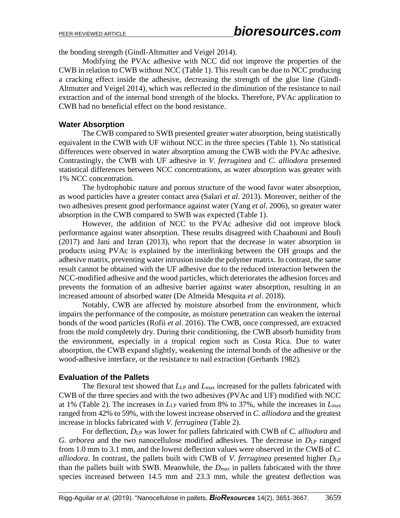the bonding strength (Gindl-Altmutter and Veigel 2014).

Modifying the PVAc adhesive with NCC did not improve the properties of the CWB in relation to CWB without NCC (Table 1). This result can be due to NCC producing a cracking effect inside the adhesive, decreasing the strength of the glue line (Gindl-Altmutter and Veigel 2014), which was reflected in the diminution of the resistance to nail extraction and of the internal bond strength of the blocks. Therefore, PVAc application to CWB had no beneficial effect on the bond resistance.

## **Water Absorption**

The CWB compared to SWB presented greater water absorption, being statistically equivalent in the CWB with UF without NCC in the three species (Table 1). No statistical differences were observed in water absorption among the CWB with the PVAc adhesive. Contrastingly, the CWB with UF adhesive in *V. ferruginea* and *C. alliodora* presented statistical differences between NCC concentrations, as water absorption was greater with 1% NCC concentration.

The hydrophobic nature and porous structure of the wood favor water absorption, as wood particles have a greater contact area (Salari *et al*. 2013). Moreover, neither of the two adhesives present good performance against water (Yang *et al*. 2006), so greater water absorption in the CWB compared to SWB was expected (Table 1).

However, the addition of NCC to the PVAc adhesive did not improve block performance against water absorption. These results disagreed with Chaabouni and Boufi (2017) and Jani and Izran (2013), who report that the decrease in water absorption in products using PVAc is explained by the interlinking between the OH groups and the adhesive matrix, preventing water intrusion inside the polymer matrix. In contrast, the same result cannot be obtained with the UF adhesive due to the reduced interaction between the NCC-modified adhesive and the wood particles, which deteriorates the adhesion forces and prevents the formation of an adhesive barrier against water absorption, resulting in an increased amount of absorbed water (De Almeida Mesquita *et al*. 2018).

Notably, CWB are affected by moisture absorbed from the environment, which impairs the performance of the composite, as moisture penetration can weaken the internal bonds of the wood particles (Rofii *et al*. 2016). The CWB, once compressed, are extracted from the mold completely dry. During their conditioning, the CWB absorb humidity from the environment, especially in a tropical region such as Costa Rica. Due to water absorption, the CWB expand slightly, weakening the internal bonds of the adhesive or the wood-adhesive interface, or the resistance to nail extraction (Gerhards 1982).

# **Evaluation of the Pallets**

The flexural test showed that  $L_{\text{LP}}$  and  $L_{\text{max}}$  increased for the pallets fabricated with CWB of the three species and with the two adhesives (PVAc and UF) modified with NCC at 1% (Table 2). The increases in *L*LP varied from 8% to 37%, while the increases in *L*max ranged from 42% to 59%, with the lowest increase observed in *C. alliodora* and the greatest increase in blocks fabricated with *V. ferruginea* (Table 2).

For deflection, *D*LP was lower for pallets fabricated with CWB of *C. alliodora* and *G. arborea* and the two nanocellulose modified adhesives. The decrease in  $D_{LP}$  ranged from 1.0 mm to 3.1 mm, and the lowest deflection values were observed in the CWB of *C. alliodora*. In contrast, the pallets built with CWB of *V. ferruginea* presented higher *D*LP than the pallets built with SWB. Meanwhile, the  $D_{\text{max}}$  in pallets fabricated with the three species increased between 14.5 mm and 23.3 mm, while the greatest deflection was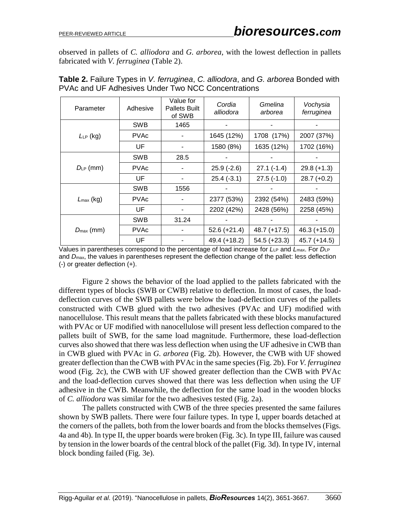observed in pallets of *C. alliodora* and *G. arborea*, with the lowest deflection in pallets fabricated with *V. ferruginea* (Table 2).

| Parameter             | Adhesive    | Value for<br><b>Pallets Built</b><br>of SWB | Cordia<br>alliodora | Gmelina<br>arborea | Vochysia<br>ferruginea |
|-----------------------|-------------|---------------------------------------------|---------------------|--------------------|------------------------|
|                       | <b>SWB</b>  | 1465                                        |                     |                    |                        |
| $L_{LP}$ (kg)         | <b>PVAc</b> |                                             | 1645 (12%)          | 1708 (17%)         | 2007 (37%)             |
|                       | UF          |                                             | 1580 (8%)           | 1635 (12%)         | 1702 (16%)             |
|                       | <b>SWB</b>  | 28.5                                        |                     |                    |                        |
| $D_{LP}$ (mm)         | <b>PVAc</b> |                                             | $25.9(-2.6)$        | $27.1(-1.4)$       | $29.8 (+1.3)$          |
|                       | UF          |                                             | $25.4(-3.1)$        | $27.5(-1.0)$       | $28.7 (+0.2)$          |
|                       | <b>SWB</b>  | 1556                                        |                     |                    |                        |
| $L_{\text{max}}$ (kg) | <b>PVAc</b> |                                             | 2377 (53%)          | 2392 (54%)         | 2483 (59%)             |
|                       | UF          |                                             | 2202 (42%)          | 2428 (56%)         | 2258 (45%)             |
|                       | <b>SWB</b>  | 31.24                                       |                     |                    |                        |
| $D_{\text{max}}$ (mm) | <b>PVAc</b> |                                             | $52.6 (+21.4)$      | $48.7 (+17.5)$     | $46.3 (+15.0)$         |
|                       | UF          |                                             | $49.4 (+18.2)$      | $54.5 (+23.3)$     | $45.7 (+14.5)$         |

**Table 2.** Failure Types in *V. ferruginea*, *C. alliodora*, and *G. arborea* Bonded with PVAc and UF Adhesives Under Two NCC Concentrations

Values in parentheses correspond to the percentage of load increase for  $L_{LP}$  and  $L_{max}$ . For  $D_{LP}$ and *D*max, the values in parentheses represent the deflection change of the pallet: less deflection (-) or greater deflection (+).

Figure 2 shows the behavior of the load applied to the pallets fabricated with the different types of blocks (SWB or CWB) relative to deflection. In most of cases, the loaddeflection curves of the SWB pallets were below the load-deflection curves of the pallets constructed with CWB glued with the two adhesives (PVAc and UF) modified with nanocellulose. This result means that the pallets fabricated with these blocks manufactured with PVAc or UF modified with nanocellulose will present less deflection compared to the pallets built of SWB, for the same load magnitude. Furthermore, these load-deflection curves also showed that there was less deflection when using the UF adhesive in CWB than in CWB glued with PVAc in *G. arborea* (Fig. 2b). However, the CWB with UF showed greater deflection than the CWB with PVAc in the same species (Fig. 2b). For *V. ferruginea* wood (Fig. 2c), the CWB with UF showed greater deflection than the CWB with PVAc and the load-deflection curves showed that there was less deflection when using the UF adhesive in the CWB. Meanwhile, the deflection for the same load in the wooden blocks of *C. alliodora* was similar for the two adhesives tested (Fig. 2a).

The pallets constructed with CWB of the three species presented the same failures shown by SWB pallets. There were four failure types. In type I, upper boards detached at the corners of the pallets, both from the lower boards and from the blocks themselves (Figs. 4a and 4b). In type II, the upper boards were broken (Fig. 3c). In type III, failure was caused by tension in the lower boards of the central block of the pallet (Fig. 3d). In type IV, internal block bonding failed (Fig. 3e).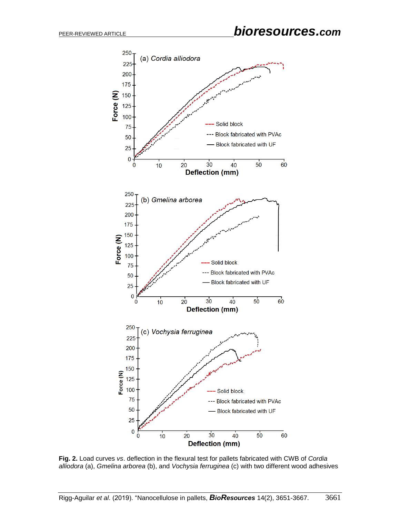

**Fig. 2.** Load curves *vs*. deflection in the flexural test for pallets fabricated with CWB of *Cordia alliodora* (a), *Gmelina arborea* (b), and *Vochysia ferruginea* (c) with two different wood adhesives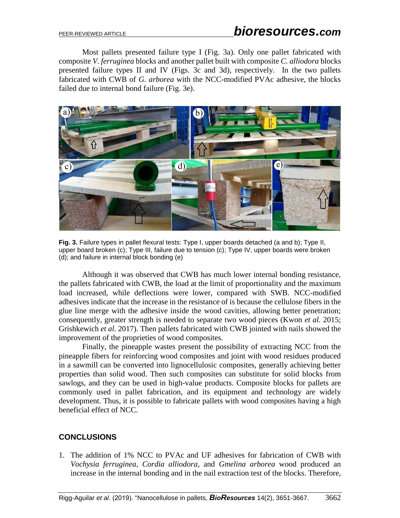Most pallets presented failure type I (Fig. 3a). Only one pallet fabricated with composite *V. ferruginea* blocks and another pallet built with composite *C. alliodora* blocks presented failure types II and IV (Figs. 3c and 3d), respectively. In the two pallets fabricated with CWB of *G. arborea* with the NCC-modified PVAc adhesive, the blocks failed due to internal bond failure (Fig. 3e).



**Fig. 3.** Failure types in pallet flexural tests: Type I, upper boards detached (a and b); Type II, upper board broken (c); Type III, failure due to tension (c); Type IV, upper boards were broken (d); and failure in internal block bonding (e)

Although it was observed that CWB has much lower internal bonding resistance, the pallets fabricated with CWB, the load at the limit of proportionality and the maximum load increased, while deflections were lower, compared with SWB. NCC-modified adhesives indicate that the increase in the resistance of is because the cellulose fibers in the glue line merge with the adhesive inside the wood cavities, allowing better penetration; consequently, greater strength is needed to separate two wood pieces (Kwon *et al.* 2015; Grishkewich *et al.* 2017). Then pallets fabricated with CWB jointed with nails showed the improvement of the proprieties of wood composites.

Finally, the pineapple wastes present the possibility of extracting NCC from the pineapple fibers for reinforcing wood composites and joint with wood residues produced in a sawmill can be converted into lignocellulosic composites, generally achieving better properties than solid wood. Then such composites can substitute for solid blocks from sawlogs, and they can be used in high-value products. Composite blocks for pallets are commonly used in pallet fabrication, and its equipment and technology are widely development. Thus, it is possible to fabricate pallets with wood composites having a high beneficial effect of NCC.

# **CONCLUSIONS**

1. The addition of 1% NCC to PVAc and UF adhesives for fabrication of CWB with *Vochysia ferruginea*, *Cordia alliodora*, and *Gmelina arborea* wood produced an increase in the internal bonding and in the nail extraction test of the blocks. Therefore,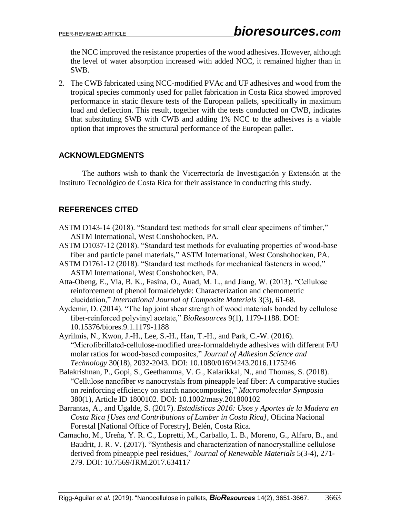the NCC improved the resistance properties of the wood adhesives. However, although the level of water absorption increased with added NCC, it remained higher than in SWB.

2. The CWB fabricated using NCC-modified PVAc and UF adhesives and wood from the tropical species commonly used for pallet fabrication in Costa Rica showed improved performance in static flexure tests of the European pallets, specifically in maximum load and deflection. This result, together with the tests conducted on CWB, indicates that substituting SWB with CWB and adding 1% NCC to the adhesives is a viable option that improves the structural performance of the European pallet.

## **ACKNOWLEDGMENTS**

The authors wish to thank the Vicerrectoría de Investigación y Extensión at the Instituto Tecnológico de Costa Rica for their assistance in conducting this study.

# **REFERENCES CITED**

- ASTM D143-14 (2018). "Standard test methods for small clear specimens of timber," ASTM International, West Conshohocken, PA.
- ASTM D1037-12 (2018). "Standard test methods for evaluating properties of wood-base fiber and particle panel materials," ASTM International, West Conshohocken, PA.
- ASTM D1761-12 (2018). "Standard test methods for mechanical fasteners in wood," ASTM International, West Conshohocken, PA.
- Atta-Obeng, E., Via, B. K., Fasina, O., Auad, M. L., and Jiang, W. (2013). "Cellulose reinforcement of phenol formaldehyde: Characterization and chemometric elucidation," *International Journal of Composite Materials* 3(3), 61-68.
- Aydemir, D. (2014). "The lap joint shear strength of wood materials bonded by cellulose fiber-reinforced polyvinyl acetate," *BioResources* 9(1), 1179-1188. DOI: 10.15376/biores.9.1.1179-1188
- Ayrilmis, N., Kwon, J.-H., Lee, S.-H., Han, T.-H., and Park, C.-W. (2016). "Microfibrillated-cellulose-modified urea-formaldehyde adhesives with different F/U molar ratios for wood-based composites," *Journal of Adhesion Science and Technology* 30(18), 2032-2043. DOI: 10.1080/01694243.2016.1175246
- Balakrishnan, P., Gopi, S., Geethamma, V. G., Kalarikkal, N., and Thomas, S. (2018). "Cellulose nanofiber *vs* nanocrystals from pineapple leaf fiber: A comparative studies on reinforcing efficiency on starch nanocomposites," *Macromolecular Symposia* 380(1), Article ID 1800102. DOI: 10.1002/masy.201800102
- Barrantas, A., and Ugalde, S. (2017). *Estadísticas 2016: Usos y Aportes de la Madera en Costa Rica [Uses and Contributions of Lumber in Costa Rica]*, Oficina Nacional Forestal [National Office of Forestry], Belén, Costa Rica.
- Camacho, M., Ureña, Y. R. C., Lopretti, M., Carballo, L. B., Moreno, G., Alfaro, B., and Baudrit, J. R. V. (2017). "Synthesis and characterization of nanocrystalline cellulose derived from pineapple peel residues," *Journal of Renewable Materials* 5(3-4), 271- 279. DOI: 10.7569/JRM.2017.634117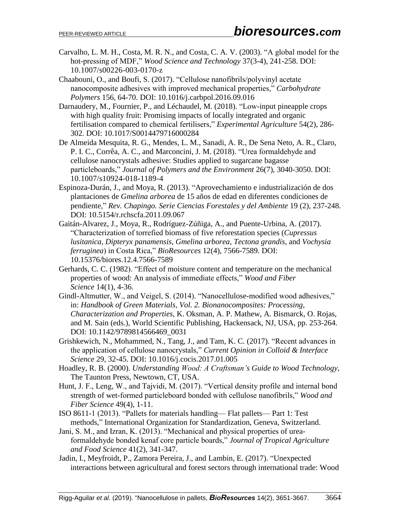- Carvalho, L. M. H., Costa, M. R. N., and Costa, C. A. V. (2003). "A global model for the hot-pressing of MDF," *Wood Science and Technology* 37(3-4), 241-258. DOI: 10.1007/s00226-003-0170-z
- Chaabouni, O., and Boufi, S. (2017). "Cellulose nanofibrils/polyvinyl acetate nanocomposite adhesives with improved mechanical properties," *Carbohydrate Polymers* 156, 64-70. DOI: 10.1016/j.carbpol.2016.09.016
- Darnaudery, M., Fournier, P., and Léchaudel, M. (2018). "Low-input pineapple crops with high quality fruit: Promising impacts of locally integrated and organic fertilisation compared to chemical fertilisers," *Experimental Agriculture* 54(2), 286- 302. DOI: 10.1017/S0014479716000284
- De Almeida Mesquita, R. G., Mendes, L. M., Sanadi, A. R., De Sena Neto, A. R., Claro, P. I. C., Corrêa, A. C., and Marconcini, J. M. (2018). "Urea formaldehyde and cellulose nanocrystals adhesive: Studies applied to sugarcane bagasse particleboards," *Journal of Polymers and the Environment* 26(7), 3040-3050. DOI: 10.1007/s10924-018-1189-4
- Espinoza-Durán, J., and Moya, R. (2013). "Aprovechamiento e industrialización de dos plantaciones de *Gmelina arborea* de 15 años de edad en diferentes condiciones de pendiente," *Rev. Chapingo. Serie Ciencias Forestales y del Ambiente* 19 (2), 237-248. DOI: 10.5154/r.rchscfa.2011.09.067
- Gaitán-Alvarez, J., Moya, R., Rodríguez-Zúñiga, A., and Puente-Urbina, A. (2017). "Characterization of torrefied biomass of five reforestation species (*Cupressus lusitanica*, *Dipteryx panamensis*, *Gmelina arborea*, *Tectona grandis*, and *Vochysia ferruginea*) in Costa Rica," *BioResources* 12(4), 7566-7589. DOI: 10.15376/biores.12.4.7566-7589
- Gerhards, C. C. (1982). "Effect of moisture content and temperature on the mechanical properties of wood: An analysis of immediate effects," *Wood and Fiber Science* 14(1), 4-36.
- Gindl-Altmutter, W., and Veigel, S. (2014). "Nanocellulose-modified wood adhesives," in: *Handbook of Green Materials, Vol. 2. Bionanocomposites: Processing, Characterization and Properties*, K. Oksman, A. P. Mathew, A. Bismarck, O. Rojas, and M. Sain (eds.), World Scientific Publishing, Hackensack, NJ, USA, pp. 253-264. DOI: 10.1142/9789814566469\_0031
- Grishkewich, N., Mohammed, N., Tang, J., and Tam, K. C. (2017). "Recent advances in the application of cellulose nanocrystals," *Current Opinion in Colloid & Interface Science* 29, 32-45. DOI: 10.1016/j.cocis.2017.01.005
- Hoadley, R. B. (2000). *Understanding Wood: A Craftsman's Guide to Wood Technology*, The Taunton Press, Newtown, CT, USA.
- Hunt, J. F., Leng, W., and Tajvidi, M. (2017). "Vertical density profile and internal bond strength of wet-formed particleboard bonded with cellulose nanofibrils," *Wood and Fiber Science* 49(4), 1-11.
- ISO 8611-1 (2013). "Pallets for materials handling— Flat pallets— Part 1: Test methods," International Organization for Standardization, Geneva, Switzerland.
- Jani, S. M., and Izran, K. (2013). "Mechanical and physical properties of ureaformaldehyde bonded kenaf core particle boards," *Journal of Tropical Agriculture and Food Science* 41(2), 341-347.
- Jadin, I., Meyfroidt, P., Zamora Pereira, J., and Lambin, E. (2017). "Unexpected interactions between agricultural and forest sectors through international trade: Wood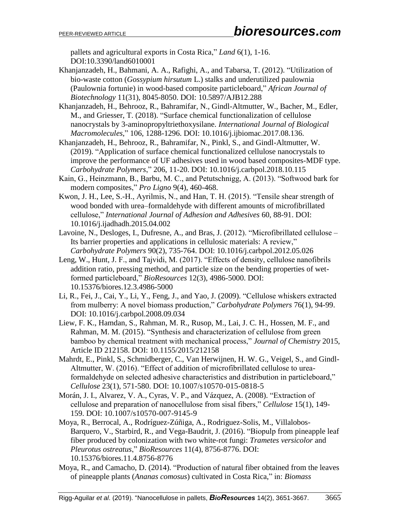pallets and agricultural exports in Costa Rica," *Land* 6(1), 1-16. DOI:10.3390/land6010001

- Khanjanzadeh, H., Bahmani, A. A., Rafighi, A., and Tabarsa, T. (2012). "Utilization of bio-waste cotton (*Gossypium hirsutum* L.) stalks and underutilized paulownia (Paulownia fortunie) in wood-based composite particleboard," *African Journal of Biotechnology* 11(31), 8045-8050. DOI: 10.5897/AJB12.288
- Khanjanzadeh, H., Behrooz, R., Bahramifar, N., Gindl-Altmutter, W., Bacher, M., Edler, M., and Griesser, T. (2018). "Surface chemical functionalization of cellulose nanocrystals by 3-aminopropyltriethoxysilane. *International Journal of Biological Macromolecules*," 106, 1288-1296. DOI: 10.1016/j.ijbiomac.2017.08.136.
- Khanjanzadeh, H., Behrooz, R., Bahramifar, N., Pinkl, S., and Gindl-Altmutter, W. (2019). "Application of surface chemical functionalized cellulose nanocrystals to improve the performance of UF adhesives used in wood based composites-MDF type. *Carbohydrate Polymers*," 206, 11-20. DOI: 10.1016/j.carbpol.2018.10.115
- Kain, G., Heinzmann, B., Barbu, M. C., and Petutschnigg, A. (2013). "Softwood bark for modern composites," *Pro Ligno* 9(4), 460-468.
- Kwon, J. H., Lee, S.-H., Ayrilmis, N., and Han, T. H. (2015). "Tensile shear strength of wood bonded with urea–formaldehyde with different amounts of microfibrillated cellulose," *International Journal of Adhesion and Adhesives* 60, 88-91. DOI: 10.1016/j.ijadhadh.2015.04.002
- Lavoine, N., Desloges, I., Dufresne, A., and Bras, J. (2012). "Microfibrillated cellulose Its barrier properties and applications in cellulosic materials: A review," *Carbohydrate Polymers* 90(2), 735-764. DOI: 10.1016/j.carbpol.2012.05.026
- Leng, W., Hunt, J. F., and Tajvidi, M. (2017). "Effects of density, cellulose nanofibrils addition ratio, pressing method, and particle size on the bending properties of wetformed particleboard," *BioResources* 12(3), 4986-5000. DOI: 10.15376/biores.12.3.4986-5000
- Li, R., Fei, J., Cai, Y., Li, Y., Feng, J., and Yao, J. (2009). "Cellulose whiskers extracted from mulberry: A novel biomass production," *Carbohydrate Polymers* 76(1), 94-99. DOI: 10.1016/j.carbpol.2008.09.034
- Liew, F. K., Hamdan, S., Rahman, M. R., Rusop, M., Lai, J. C. H., Hossen, M. F., and Rahman, M. M. (2015). "Synthesis and characterization of cellulose from green bamboo by chemical treatment with mechanical process," *Journal of Chemistry* 2015, Article ID 212158. DOI: 10.1155/2015/212158
- Mahrdt, E., Pinkl, S., Schmidberger, C., Van Herwijnen, H. W. G., Veigel, S., and Gindl-Altmutter, W. (2016). "Effect of addition of microfibrillated cellulose to ureaformaldehyde on selected adhesive characteristics and distribution in particleboard," *Cellulose* 23(1), 571-580. DOI: 10.1007/s10570-015-0818-5
- Morán, J. I., Alvarez, V. A., Cyras, V. P., and Vázquez, A. (2008). "Extraction of cellulose and preparation of nanocellulose from sisal fibers," *Cellulose* 15(1), 149- 159. DOI: 10.1007/s10570-007-9145-9
- Moya, R., Berrocal, A., Rodríguez-Zúñiga, A., Rodriguez-Solis, M., Villalobos-Barquero, V., Starbird, R., and Vega-Baudrit, J. (2016). "Biopulp from pineapple leaf fiber produced by colonization with two white-rot fungi: *Trametes versicolor* and *Pleurotus ostreatus*," *BioResources* 11(4), 8756-8776. DOI: 10.15376/biores.11.4.8756-8776
- Moya, R., and Camacho, D. (2014). "Production of natural fiber obtained from the leaves of pineapple plants (*Ananas comosus*) cultivated in Costa Rica," in: *Biomass*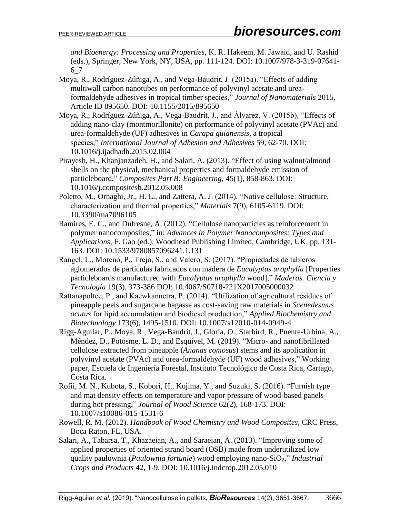*and Bioenergy: Processing and Properties*, K. R. Hakeem, M. Jawaid, and U. Rashid (eds.), Springer, New York, NY, USA, pp. 111-124. DOI: 10.1007/978-3-319-07641- 6\_7

- Moya, R., Rodríguez-Zúñiga, A., and Vega-Baudrit, J. (2015a). "Effects of adding multiwall carbon nanotubes on performance of polyvinyl acetate and ureaformaldehyde adhesives in tropical timber species," *Journal of Nanomaterials* 2015, Article ID 895650. DOI: 10.1155/2015/895650
- Moya, R., Rodríguez-Zúñiga, A., Vega-Baudrit, J., and Álvarez, V. (2015b). "Effects of adding nano-clay (montmorillonite) on performance of polyvinyl acetate (PVAc) and urea-formaldehyde (UF) adhesives in *Carapa guianensis*, a tropical species," *International Journal of Adhesion and Adhesives* 59, 62-70. DOI: 10.1016/j.ijadhadh.2015.02.004
- Pirayesh, H., Khanjanzadeh, H., and Salari, A. (2013). "Effect of using walnut/almond shells on the physical, mechanical properties and formaldehyde emission of particleboard," *Composites Part B: Engineering*, 45(1), 858-863. DOI: 10.1016/j.compositesb.2012.05.008
- Poletto, M., Ornaghi, Jr., H. L., and Zattera, A. J. (2014). "Native cellulose: Structure, characterization and thermal properties," *Materials* 7(9), 6105-6119. DOI: 10.3390/ma7096105
- Ramires, E. C., and Dufresne, A. (2012). "Cellulose nanoparticles as reinforcement in polymer nanocomposites," in: *Advances in Polymer Nanocomposites: Types and Applications*, F. Gao (ed.), Woodhead Publishing Limited, Cambridge, UK, pp. 131- 163. DOI: 10.1533/9780857096241.1.131
- Rangel, L., Moreno, P., Trejo, S., and Valero, S. (2017). "Propiedades de tableros aglomerados de partículas fabricados con madera de *Eucalyptus urophylla* [Properties particleboards manufactured with *Eucalyptus urophylla* wood]," *Maderas. Ciencia y Tecnología* 19(3), 373-386 DOI: 10.4067/S0718-221X2017005000032
- Rattanapoltee, P., and Kaewkannetra, P. (2014). "Utilization of agricultural residues of pineapple peels and sugarcane bagasse as cost-saving raw materials in *Scenedesmus acutus* for lipid accumulation and biodiesel production," *Applied Biochemistry and Biotechnology* 173(6), 1495-1510. DOI: 10.1007/s12010-014-0949-4
- Rigg-Aguilar, P., Moya, R., Vega-Baudrit, J., Gloria, O., Starbird, R., Puente-Urbina, A., Méndez, D., Potosme, L. D., and Esquivel, M. (2019). "Micro- and nanofibrillated cellulose extracted from pineapple (*Ananas comosus*) stems and its application in polyvinyl acetate (PVAc) and urea-formaldehyde (UF) wood adhesives," Working paper, Escuela de Ingeniería Forestal, Instituto Tecnológico de Costa Rica, Cartago, Costa Rica.
- Rofii, M. N., Kubota, S., Kobori, H., Kojima, Y., and Suzuki, S. (2016). "Furnish type and mat density effects on temperature and vapor pressure of wood-based panels during hot pressing," *Journal of Wood Science* 62(2), 168-173. DOI: 10.1007/s10086-015-1531-6
- Rowell, R. M. (2012). *Handbook of Wood Chemistry and Wood Composites*, CRC Press, Boca Raton, FL, USA.
- Salari, A., Tabarsa, T., Khazaeian, A., and Saraeian, A. (2013). "Improving some of applied properties of oriented strand board (OSB) made from underutilized low quality paulownia (*Paulownia fortunie*) wood employing nano-SiO2," *Industrial Crops and Products* 42, 1-9. DOI: 10.1016/j.indcrop.2012.05.010